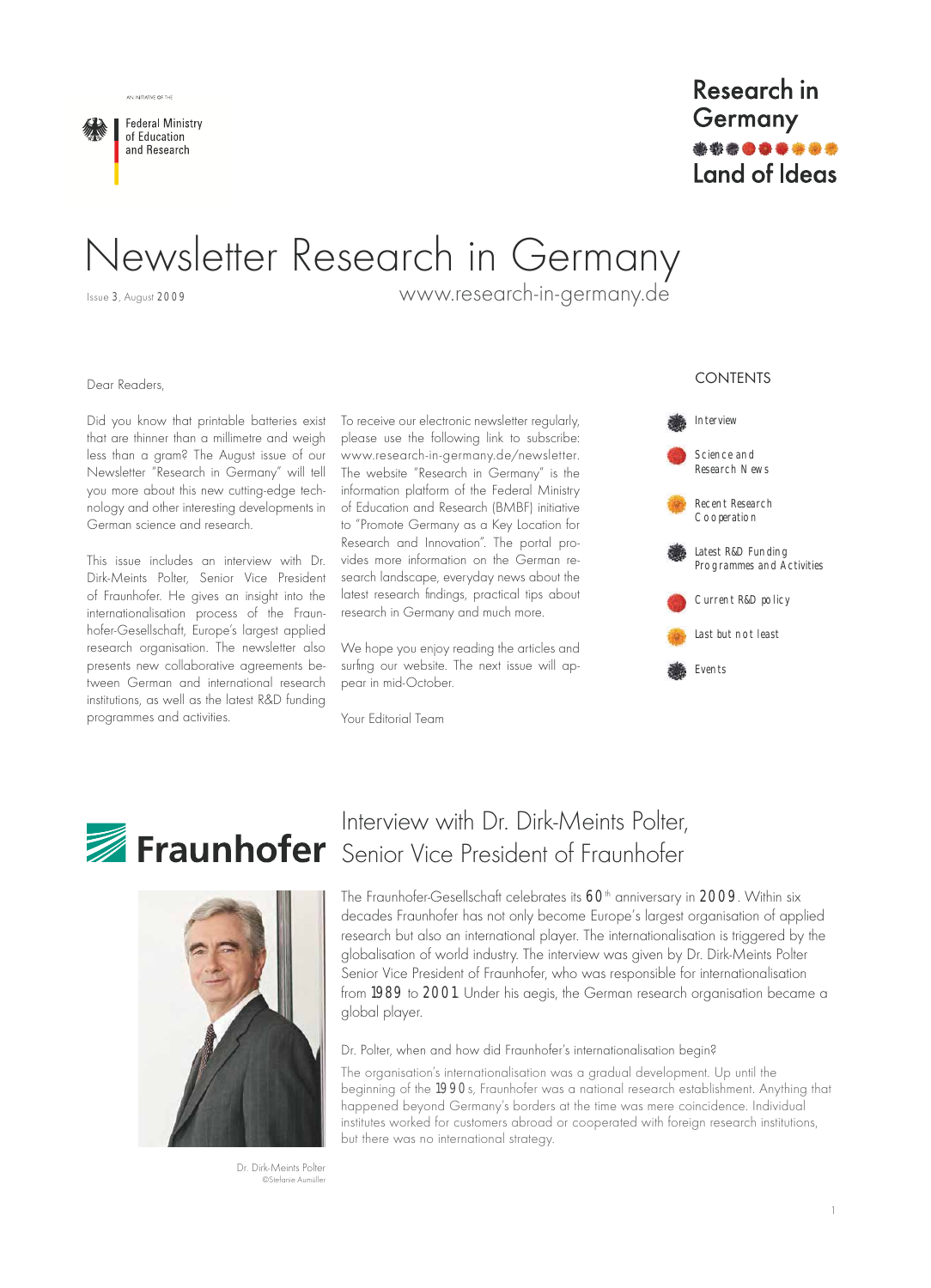

# Newsletter Research in Germany

Issue 3, August 2009

AN INITIATIVE OF THE

www.research-in-germany.de

#### Dear Readers.

Did you know that printable batteries exist that are thinner than a millimetre and weigh less than a gram? The August issue of our Newsletter "Research in Germany" will tell you more about this new cutting-edge technology and other interesting developments in German science and research.

This issue includes an interview with Dr. Dirk-Meints Polter, Senior Vice President of Fraunhofer. He gives an insight into the internationalisation process of the Fraunhofer-Gesellschaft, Europe's largest applied research organisation. The newsletter also presents new collaborative agreements between German and international research institutions, as well as the latest R&D funding programmes and activities.

To receive our electronic newsletter regularly, please use the following link to subscribe: www.research-in-germany.de/newsletter. The website "Research in Germany" is the information platform of the Federal Ministry of Education and Research (BMBF) initiative to "Promote Germany as a Key Location for Research and Innovation". The portal provides more information on the German research landscape, everyday news about the latest research findings, practical tips about research in Germany and much more.

We hope you enjoy reading the articles and surfing our website. The next issue will appear in mid-October.

Your Editorial Team

#### **CONTENTS**







Interview with Dr. Dirk-Meints Polter. Fraunhofer Senior Vice President of Fraunhofer

The Fraunhofer-Gesellschaft celebrates its 60<sup>th</sup> anniversary in 2009. Within six decades Fraunhofer has not only become Europe's largest organisation of applied research but also an international player. The internationalisation is triggered by the globalisation of world industry. The interview was given by Dr. Dirk-Meints Polter Senior Vice President of Fraunhofer, who was responsible for internationalisation from 1989 to 2001. Under his aegis, the German research organisation became a global player.

#### Dr. Polter, when and how did Fraunhofer's internationalisation begin?

The organisation's internationalisation was a gradual development. Up until the beginning of the 1990s, Fraunhofer was a national research establishment. Anything that happened beyond Germany's borders at the time was mere coincidence. Individual institutes worked for customers abroad or cooperated with foreign research institutions, but there was no international strategy.

Dr. Dirk-Meints Polter ©Stefanje Aumülle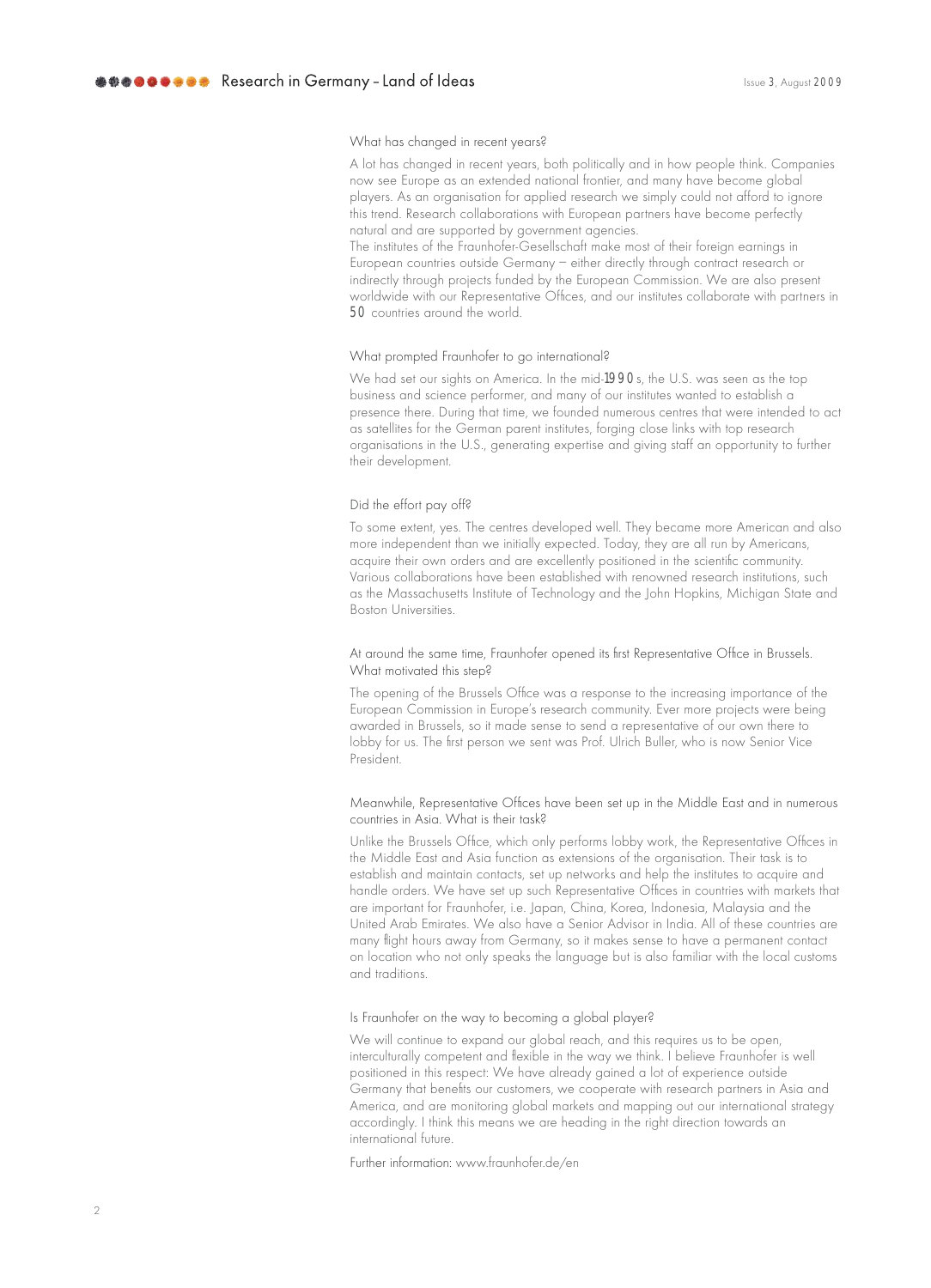#### What has changed in recent years?

A lot has changed in recent years, both politically and in how people think. Companies now see Europe as an extended national frontier, and many have become alobal players. As an organisation for applied research we simply could not afford to ignore this trend. Research collaborations with European partners have become perfectly natural and are supported by government agencies.

The institutes of the Fraunhofer-Gesellschaft make most of their foreign earnings in European countries outside Germany - either directly through contract research or indirectly through projects funded by the European Commission. We are also present worldwide with our Representative Offices, and our institutes collaborate with partners in 50 countries around the world.

#### What prompted Fraunhofer to go international?

We had set our sights on America. In the mid-1990s, the U.S. was seen as the top business and science performer, and many of our institutes wanted to establish a presence there. During that time, we founded numerous centres that were intended to act as satellites for the German parent institutes, forging close links with top research organisations in the U.S., generating expertise and giving staff an opportunity to further their development.

#### Did the effort pay off?

To some extent, yes. The centres developed well. They became more American and also more independent than we initially expected. Today, they are all run by Americans, acquire their own orders and are excellently positioned in the scientific community. Various collaborations have been established with renowned research institutions, such as the Massachusetts Institute of Technology and the John Hopkins, Michigan State and **Boston Universities.** 

#### At around the same time, Fraunhofer opened its first Representative Office in Brussels. What motivated this step?

The opening of the Brussels Office was a response to the increasing importance of the European Commission in Europe's research community. Ever more projects were being awarded in Brussels, so it made sense to send a representative of our own there to lobby for us. The first person we sent was Prof. Ulrich Buller, who is now Senior Vice President

#### Meanwhile, Representative Offices have been set up in the Middle East and in numerous countries in Asia. What is their task?

Unlike the Brussels Office, which only performs lobby work, the Representative Offices in the Middle East and Asia function as extensions of the organisation. Their task is to establish and maintain contacts, set up networks and help the institutes to acquire and handle orders. We have set up such Representative Offices in countries with markets that are important for Fraunhofer, i.e. Japan, China, Korea, Indonesia, Malaysia and the United Arab Emirates. We also have a Senior Advisor in India. All of these countries are many flight hours away from Germany, so it makes sense to have a permanent contact on location who not only speaks the language but is also familiar with the local customs and traditions.

#### Is Fraunhofer on the way to becoming a global player?

We will continue to expand our global reach, and this requires us to be open, interculturally competent and flexible in the way we think. I believe Fraunhofer is well positioned in this respect: We have already gained a lot of experience outside Germany that benefits our customers, we cooperate with research partners in Asia and America, and are monitoring global markets and mapping out our international strategy accordingly. I think this means we are heading in the right direction towards an international future.

Further information: www.fraunhofer.de/en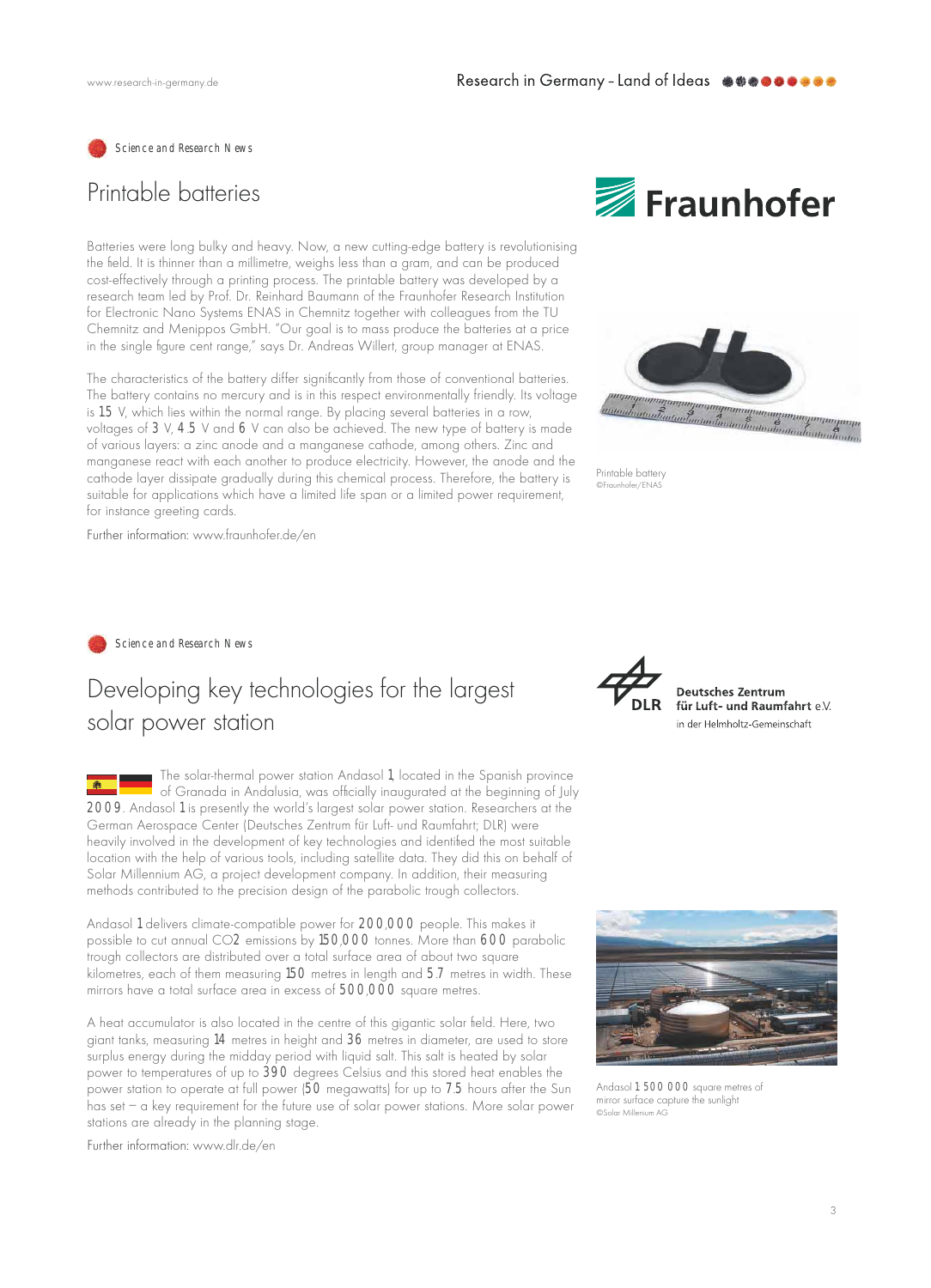Science and Research News

## Printable batteries

Batteries were long bulky and heavy. Now, a new cutting-edge battery is revolutionising the field. It is thinner than a millimetre, weighs less than a gram, and can be produced cost-effectively through a printing process. The printable battery was developed by a research team led by Prof. Dr. Reinhard Baumann of the Fraunhofer Research Institution for Electronic Nano Systems ENAS in Chemnitz together with colleagues from the TU Chemnitz and Menippos GmbH. "Our goal is to mass produce the batteries at a price in the single figure cent range," says Dr. Andreas Willert, group manager at ENAS.

The characteristics of the battery differ significantly from those of conventional batteries. The battery contains no mercury and is in this respect environmentally friendly. Its voltage is 1.5 V, which lies within the normal range. By placing several batteries in a row, voltages of 3 V, 4.5 V and 6 V can also be achieved. The new type of battery is made of various layers: a zinc anode and a manganese cathode, among others. Zinc and manganese react with each another to produce electricity. However, the anode and the cathode layer dissipate gradually during this chemical process. Therefore, the battery is suitable for applications which have a limited life span or a limited power requirement, for instance greeting cards.

Further information: www.fraunhofer.de/en





Printable battery @Fraunhofer/ENAS

Science and Research News

# Developing key technologies for the largest solar power station

The solar-thermal power station Andasol 1, located in the Spanish province  $\blacksquare$ of Granada in Andalusia, was officially inaugurated at the beginning of July 2009. Andasol 1 is presently the world's largest solar power station. Researchers at the German Aerospace Center (Deutsches Zentrum für Luft- und Raumfahrt; DLR) were heavily involved in the development of key technologies and identified the most suitable location with the help of various tools, including satellite data. They did this on behalf of Solar Millennium AG, a project development company. In addition, their measuring methods contributed to the precision design of the parabolic trough collectors.

Andasol 1 delivers climate-compatible power for 200,000 people. This makes it possible to cut annual CO2 emissions by 150,000 tonnes. More than 600 parabolic trough collectors are distributed over a total surface area of about two square kilometres, each of them measuring 150 metres in length and 5.7 metres in width. These mirrors have a total surface area in excess of 500,000 square metres.

A heat accumulator is also located in the centre of this gigantic solar field. Here, two giant tanks, measuring 14 metres in height and 36 metres in diameter, are used to store surplus energy during the midday period with liquid salt. This salt is heated by solar power to temperatures of up to 390 degrees Celsius and this stored heat enables the power station to operate at full power (50 megawatts) for up to 7.5 hours after the Sun has set - a key requirement for the future use of solar power stations. More solar power stations are already in the planning stage.

Further information: www.dlr.de/en



**Deutsches Zentrum** für Luft- und Raumfahrt e.V. in der Helmholtz-Gemeinschaft



Andasol 1: 500 000 square metres of mirror surface capture the sunlight CSolar Millenium AG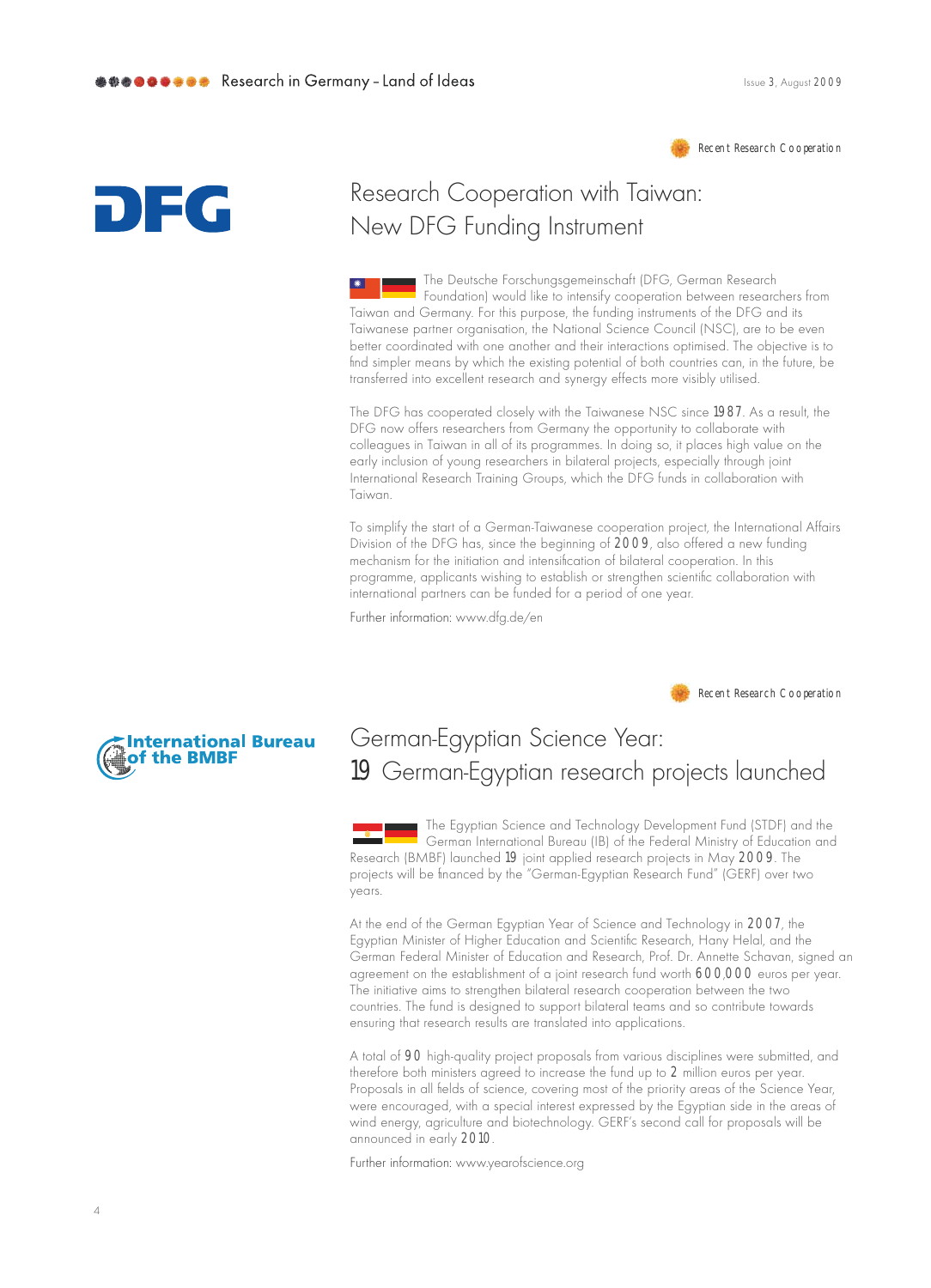

# DIEG

# Research Cooperation with Taiwan: New DFG Funding Instrument

The Deutsche Forschungsgemeinschaft (DFG, German Research Foundation) would like to intensify cooperation between researchers from Taiwan and Germany. For this purpose, the funding instruments of the DFG and its Taiwanese partner organisation, the National Science Council (NSC), are to be even better coordinated with one another and their interactions optimised. The objective is to find simpler means by which the existing potential of both countries can, in the future, be transferred into excellent research and synergy effects more visibly utilised.

The DFG has cooperated closely with the Taiwanese NSC since 1987. As a result, the DFG now offers researchers from Germany the opportunity to collaborate with colleagues in Taiwan in all of its programmes. In doing so, it places high value on the early inclusion of young researchers in bilateral projects, especially through joint International Research Training Groups, which the DFG funds in collaboration with Taiwan

To simplify the start of a German-Taiwanese cooperation project, the International Affairs Division of the DFG has, since the beginning of 2009, also offered a new funding mechanism for the initiation and intensification of bilateral cooperation. In this programme, applicants wishing to establish or strengthen scientific collaboration with international partners can be funded for a period of one year.

Further information: www.dfg.de/en

Recent Research Cooperation



## German-Egyptian Science Year: 19 German-Egyptian research projects launched

The Egyptian Science and Technology Development Fund (STDF) and the German International Bureau (IB) of the Federal Ministry of Education and Research (BMBF) launched 19 joint applied research projects in May 2009. The projects will be financed by the "German-Egyptian Research Fund" (GERF) over two years.

At the end of the German Egyptian Year of Science and Technology in 2007, the Egyptian Minister of Higher Education and Scientific Research, Hany Helal, and the German Federal Minister of Education and Research, Prof. Dr. Annette Schavan, signed an agreement on the establishment of a joint research fund worth 600,000 euros per year. The initiative aims to strengthen bilateral research cooperation between the two countries. The fund is designed to support bilateral teams and so contribute towards ensuring that research results are translated into applications.

A total of 90 high-quality project proposals from various disciplines were submitted, and therefore both ministers agreed to increase the fund up to 2 million euros per year. Proposals in all fields of science, covering most of the priority areas of the Science Year, were encouraged, with a special interest expressed by the Egyptian side in the areas of wind energy, agriculture and biotechnology. GERF's second call for proposals will be announced in early 2010.

Further information: www.yearofscience.org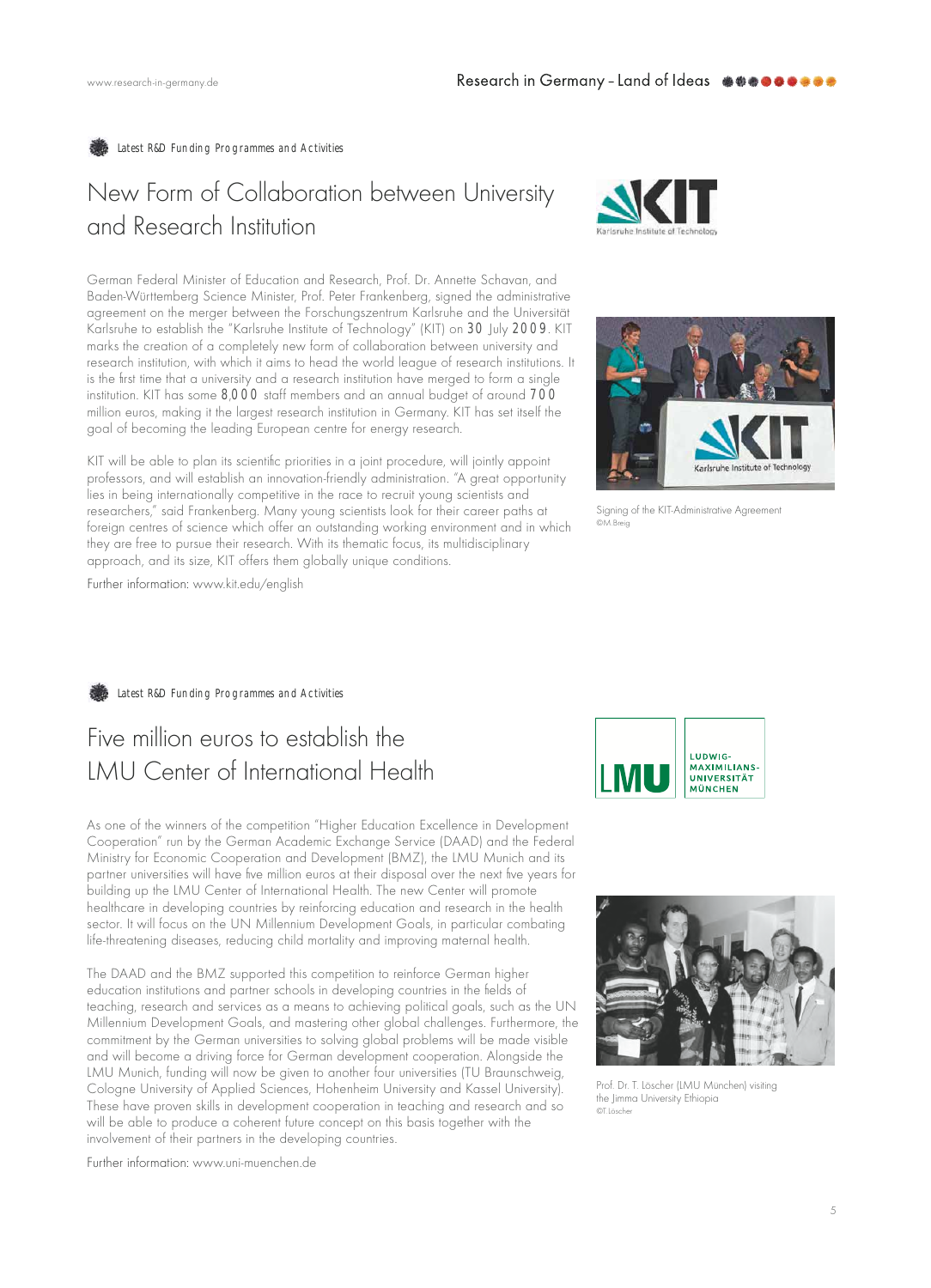Latest R&D Funding Programmes and Activities

# New Form of Collaboration between University and Research Institution

German Federal Minister of Education and Research, Prof. Dr. Annette Schavan, and Baden-Württemberg Science Minister, Prof. Peter Frankenberg, signed the administrative agreement on the merger between the Forschungszentrum Karlsruhe and the Universität Karlsruhe to establish the "Karlsruhe Institute of Technology" (KIT) on 30 July 2009. KIT marks the creation of a completely new form of collaboration between university and research institution, with which it aims to head the world league of research institutions. It is the first time that a university and a research institution have merged to form a single institution. KIT has some 8,000 staff members and an annual budget of around 700 million euros, making it the largest research institution in Germany. KIT has set itself the goal of becoming the leading European centre for energy research.

KIT will be able to plan its scientific priorities in a joint procedure, will jointly appoint professors, and will establish an innovation-friendly administration. "A great opportunity lies in being internationally competitive in the race to recruit young scientists and researchers," said Frankenberg. Many young scientists look for their career paths at foreign centres of science which offer an outstanding working environment and in which they are free to pursue their research. With its thematic focus, its multidisciplinary approach, and its size, KIT offers them globally unique conditions.





Signing of the KIT-Administrative Agreement ്.<br>തM Breid

Further information: www.kit.edu/english

Latest R&D Funding Programmes and Activities

## Five million euros to establish the **IMU** Center of International Health

As one of the winners of the competition "Higher Education Excellence in Development Cooperation" run by the German Academic Exchange Service (DAAD) and the Federal Ministry for Economic Cooperation and Development (BMZ), the LMU Munich and its partner universities will have five million euros at their disposal over the next five years for building up the LMU Center of International Health. The new Center will promote healthcare in developing countries by reinforcing education and research in the health sector. It will focus on the UN Millennium Development Goals, in particular combating life-threatening diseases, reducing child mortality and improving maternal health.

The DAAD and the BMZ supported this competition to reinforce German higher education institutions and partner schools in developing countries in the fields of teaching, research and services as a means to achieving political goals, such as the UN Millennium Development Goals, and mastering other global challenges. Furthermore, the commitment by the German universities to solving global problems will be made visible and will become a driving force for German development cooperation. Alongside the LMU Munich, funding will now be given to another four universities (TU Braunschweig, Cologne University of Applied Sciences, Hohenheim University and Kassel University). These have proven skills in development cooperation in teaching and research and so will be able to produce a coherent future concept on this basis together with the involvement of their partners in the developing countries.

Further information: www.uni-muenchen.de





Prof. Dr. T. Löscher (LMU München) visiting the Jimma University Ethiopia @T Läcchor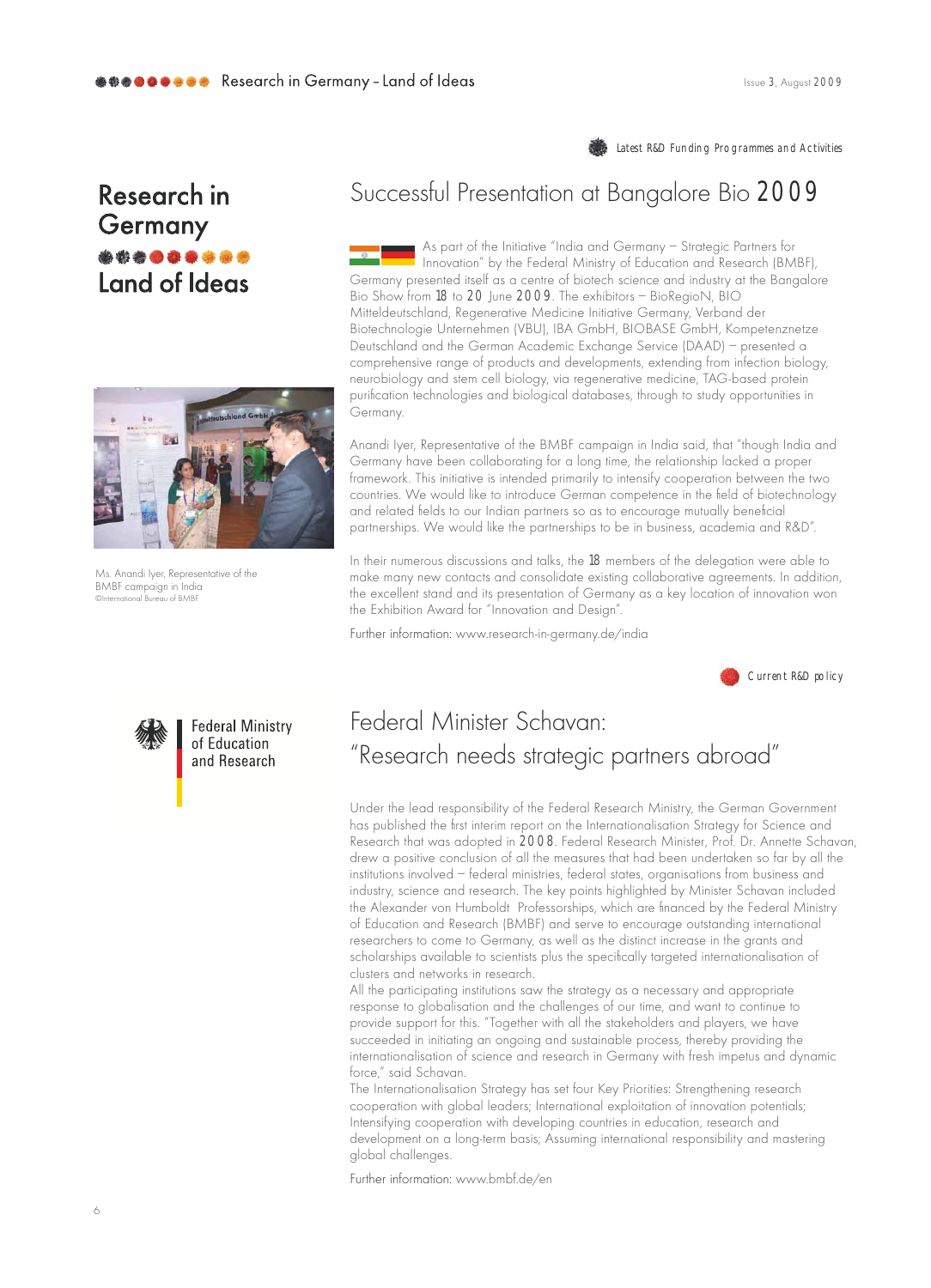Latest R&D Funding Programmes and Activities

# Research in Germany Land of Ideas



Ms. Anandi Iyer, Representative of the BMBF campaign in India ional Bureau of BMBE

# Successful Presentation at Bangalore Bio 2009

As part of the Initiative "India and Germany - Strategic Partners for Innovation" by the Federal Ministry of Education and Research (BMBF), Germany presented itself as a centre of biotech science and industry at the Bangalore Bio Show from 18 to 20 June 2009. The exhibitors - BioRegioN, BIO Mitteldeutschland, Regenerative Medicine Initiative Germany, Verband der Biotechnologie Unternehmen (VBU), IBA GmbH, BIOBASE GmbH, Kompetenznetze Deutschland and the German Academic Exchange Service (DAAD) - presented a comprehensive range of products and developments, extending from infection biology, neurobiology and stem cell biology, via regenerative medicine, TAG-based protein purification rechnologies and biological databases, through to study opportunities in Germany.

Anandi Iyer, Representative of the BMBF campaign in India said, that "though India and Germany have been collaborating for a long time, the relationship lacked a proper framework. This initiative is intended primarily to intensify cooperation between the two countries. We would like to introduce German competence in the field of biotechnology and related fields to our Indian partners so as to encourage mutually beneficial partnerships. We would like the partnerships to be in business, academia and R&D".

In their numerous discussions and talks, the 18 members of the delegation were able to make many new contacts and consolidate existing collaborative agreements. In addition, the excellent stand and its presentation of Germany as a key location of innovation won the Exhibition Award for "Innovation and Design".

Further information: www.research-in-germany.de/india

Current R&D policy



**Federal Ministry** of Education and Research

## Federal Minister Schavan: "Research needs strategic partners abroad"

Under the lead responsibility of the Federal Research Ministry, the German Government has published the first interim report on the Internationalisation Strategy for Science and Research that was adopted in 2008. Federal Research Minister, Prof. Dr. Annette Schavan, drew a positive conclusion of all the measures that had been undertaken so far by all the institutions involved - federal ministries, federal states, organisations from business and industry, science and research. The key points highlighted by Minister Schavan included the Alexander von Humboldt Professorships, which are financed by the Federal Ministry of Education and Research (BMBF) and serve to encourage outstanding international researchers to come to Germany, as well as the distinct increase in the grants and scholarships available to scientists plus the specifically targeted internationalisation of clusters and networks in research.

All the participating institutions saw the strategy as a necessary and appropriate response to globalisation and the challenges of our time, and want to continue to provide support for this. "Together with all the stakeholders and players, we have succeeded in initiating an ongoing and sustainable process, thereby providing the internationalisation of science and research in Germany with fresh impetus and dynamic force," said Schavan.

The Internationalisation Strategy has set four Key Priorities: Strengthening research cooperation with global leaders; International exploitation of innovation potentials; Intensifying cooperation with developing countries in education, research and development on a long-term basis; Assuming international responsibility and mastering global challenges.

Further information: www.bmbf.de/en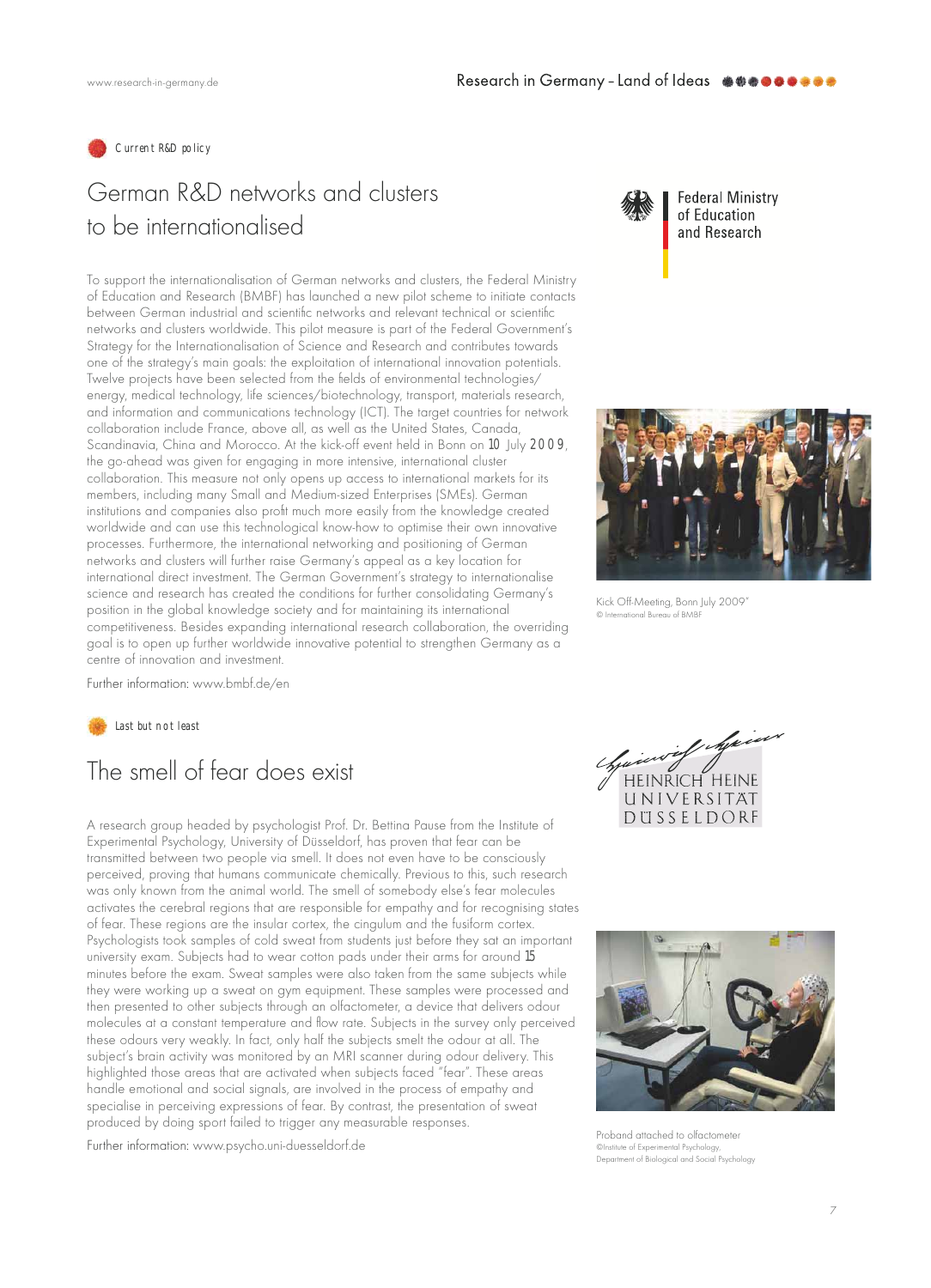

## German R&D networks and clusters to be internationalised

To support the internationalisation of German networks and clusters, the Federal Ministry of Education and Research (BMBF) has launched a new pilot scheme to initiate contacts between German industrial and scientific networks and relevant technical or scientific networks and clusters worldwide. This pilot measure is part of the Federal Government's Strategy for the Internationalisation of Science and Research and contributes towards one of the strategy's main goals: the exploitation of international innovation potentials. Twelve projects have been selected from the fields of environmental technologies/ energy, medical technology, life sciences/biotechnology, transport, materials research, and information and communications technology (ICT). The target countries for network collaboration include France, above all, as well as the United States, Canada, Scandinavia, China and Morocco. At the kick-off event held in Bonn on 10 July 2009, the go-ahead was given for engaging in more intensive, international cluster collaboration. This measure not only opens up access to international markets for its members, including many Small and Medium-sized Enterprises (SMEs). German institutions and companies also profit much more easily from the knowledge created worldwide and can use this technological know-how to optimise their own innovative processes. Furthermore, the international networking and positioning of German networks and clusters will further raise Germany's appeal as a key location for international direct investment. The German Government's strategy to internationalise science and research has created the conditions for further consolidating Germany's position in the global knowledge society and for maintaining its international competitiveness. Besides expanding international research collaboration, the overriding goal is to open up further worldwide innovative potential to strengthen Germany as a centre of innovation and investment.



**Federal Ministry** of Education and Research



Kick Off-Meeting, Bonn July 2009' ational Bureau of BMBI

Further information: www.bmbf.de/en

Last but not least

## The smell of fear does exist

A research group headed by psychologist Prof. Dr. Bettina Pause from the Institute of Experimental Psychology, University of Düsseldorf, has proven that fear can be transmitted between two people via smell. It does not even have to be consciously perceived, proving that humans communicate chemically. Previous to this, such research was only known from the animal world. The smell of somebody else's fear molecules activates the cerebral regions that are responsible for empathy and for recognising states of fear. These regions are the insular cortex, the cingulum and the fusiform cortex. Psychologists took samples of cold sweat from students just before they sat an important university exam. Subjects had to wear cotton pads under their arms for around 15 minutes before the exam. Sweat samples were also taken from the same subjects while they were working up a sweat on gym equipment. These samples were processed and then presented to other subjects through an olfactometer, a device that delivers odour molecules at a constant temperature and flow rate. Subjects in the survey only perceived these odours very weakly. In fact, only half the subjects smelt the odour at all. The subject's brain activity was monitored by an MRI scanner during odour delivery. This highlighted those areas that are activated when subjects faced "fear". These areas handle emotional and social signals, are involved in the process of empathy and specialise in perceiving expressions of fear. By contrast, the presentation of sweat produced by doing sport failed to trigger any measurable responses.

Further information: www.psycho.uni-duesseldorf.de





Proband attached to olfactometer Clnstitute of Experimental Psychology Department of Biological and Social Psychology